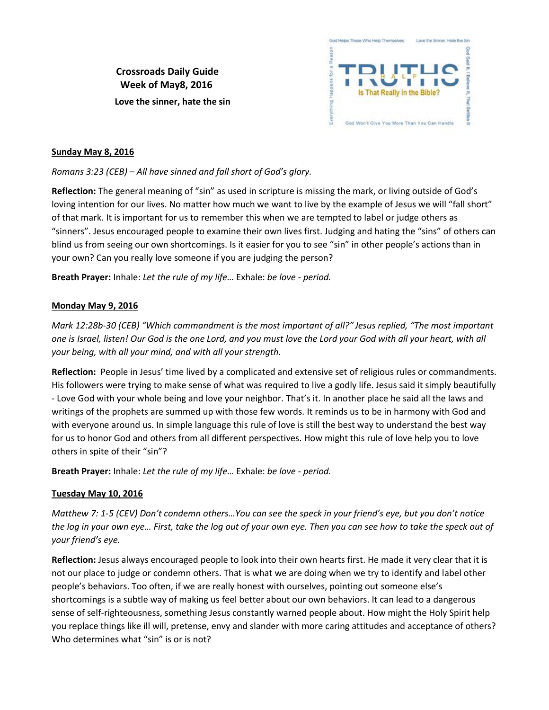**Crossroads Daily Guide Week of May8, 2016**

**Love the sinner, hate the sin**



#### **Sunday May 8, 2016**

*Romans 3:23 (CEB) – All have sinned and fall short of God's glory.*

**Reflection:** The general meaning of "sin" as used in scripture is missing the mark, or living outside of God's loving intention for our lives. No matter how much we want to live by the example of Jesus we will "fall short" of that mark. It is important for us to remember this when we are tempted to label or judge others as "sinners". Jesus encouraged people to examine their own lives first. Judging and hating the "sins" of others can blind us from seeing our own shortcomings. Is it easier for you to see "sin" in other people's actions than in your own? Can you really love someone if you are judging the person?

**Breath Prayer:** Inhale: *Let the rule of my life…* Exhale: *be love - period.*

### **Monday May 9, 2016**

*Mark 12:28b-30 (CEB) "Which commandment is the most important of all?" Jesus replied, "The most important one is Israel, listen! Our God is the one Lord, and you must love the Lord your God with all your heart, with all your being, with all your mind, and with all your strength.*

**Reflection:** People in Jesus' time lived by a complicated and extensive set of religious rules or commandments. His followers were trying to make sense of what was required to live a godly life. Jesus said it simply beautifully - Love God with your whole being and love your neighbor. That's it. In another place he said all the laws and writings of the prophets are summed up with those few words. It reminds us to be in harmony with God and with everyone around us. In simple language this rule of love is still the best way to understand the best way for us to honor God and others from all different perspectives. How might this rule of love help you to love others in spite of their "sin"?

**Breath Prayer:** Inhale: *Let the rule of my life…* Exhale: *be love - period.*

#### **Tuesday May 10, 2016**

*Matthew 7: 1-5 (CEV) Don't condemn others…You can see the speck in your friend's eye, but you don't notice the log in your own eye… First, take the log out of your own eye. Then you can see how to take the speck out of your friend's eye.*

**Reflection:** Jesus always encouraged people to look into their own hearts first. He made it very clear that it is not our place to judge or condemn others. That is what we are doing when we try to identify and label other people's behaviors. Too often, if we are really honest with ourselves, pointing out someone else's shortcomings is a subtle way of making us feel better about our own behaviors. It can lead to a dangerous sense of self-righteousness, something Jesus constantly warned people about. How might the Holy Spirit help you replace things like ill will, pretense, envy and slander with more caring attitudes and acceptance of others? Who determines what "sin" is or is not?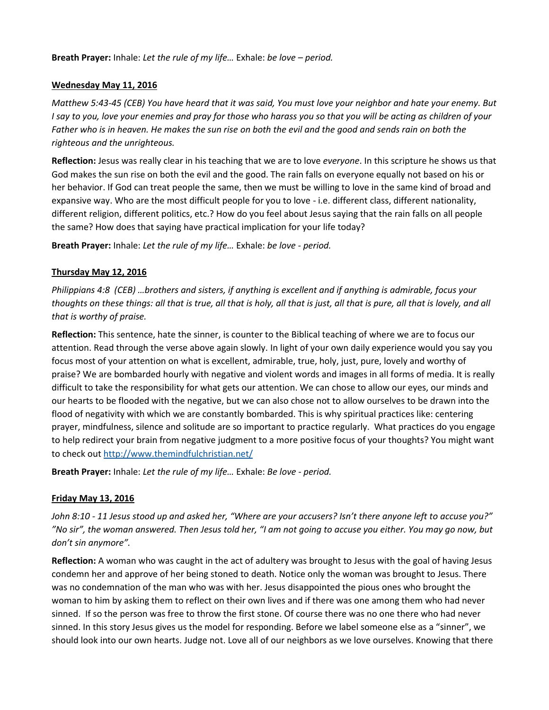**Breath Prayer:** Inhale: *Let the rule of my life…* Exhale: *be love – period.* 

## **Wednesday May 11, 2016**

*Matthew 5:43-45 (CEB) You have heard that it was said, You must love your neighbor and hate your enemy. But I say to you, love your enemies and pray for those who harass you so that you will be acting as children of your Father who is in heaven. He makes the sun rise on both the evil and the good and sends rain on both the righteous and the unrighteous.*

**Reflection:** Jesus was really clear in his teaching that we are to love *everyone*. In this scripture he shows us that God makes the sun rise on both the evil and the good. The rain falls on everyone equally not based on his or her behavior. If God can treat people the same, then we must be willing to love in the same kind of broad and expansive way. Who are the most difficult people for you to love - i.e. different class, different nationality, different religion, different politics, etc.? How do you feel about Jesus saying that the rain falls on all people the same? How does that saying have practical implication for your life today?

**Breath Prayer:** Inhale: *Let the rule of my life…* Exhale: *be love - period.*

# **Thursday May 12, 2016**

*Philippians 4:8 (CEB) …brothers and sisters, if anything is excellent and if anything is admirable, focus your thoughts on these things: all that is true, all that is holy, all that is just, all that is pure, all that is lovely, and all that is worthy of praise.* 

**Reflection:** This sentence, hate the sinner, is counter to the Biblical teaching of where we are to focus our attention. Read through the verse above again slowly. In light of your own daily experience would you say you focus most of your attention on what is excellent, admirable, true, holy, just, pure, lovely and worthy of praise? We are bombarded hourly with negative and violent words and images in all forms of media. It is really difficult to take the responsibility for what gets our attention. We can chose to allow our eyes, our minds and our hearts to be flooded with the negative, but we can also chose not to allow ourselves to be drawn into the flood of negativity with which we are constantly bombarded. This is why spiritual practices like: centering prayer, mindfulness, silence and solitude are so important to practice regularly. What practices do you engage to help redirect your brain from negative judgment to a more positive focus of your thoughts? You might want to check out<http://www.themindfulchristian.net/>

**Breath Prayer:** Inhale: *Let the rule of my life…* Exhale: *Be love - period.*

# **Friday May 13, 2016**

*John 8:10 - 11 Jesus stood up and asked her, "Where are your accusers? Isn't there anyone left to accuse you?" "No sir", the woman answered. Then Jesus told her, "I am not going to accuse you either. You may go now, but don't sin anymore".*

**Reflection:** A woman who was caught in the act of adultery was brought to Jesus with the goal of having Jesus condemn her and approve of her being stoned to death. Notice only the woman was brought to Jesus. There was no condemnation of the man who was with her. Jesus disappointed the pious ones who brought the woman to him by asking them to reflect on their own lives and if there was one among them who had never sinned. If so the person was free to throw the first stone. Of course there was no one there who had never sinned. In this story Jesus gives us the model for responding. Before we label someone else as a "sinner", we should look into our own hearts. Judge not. Love all of our neighbors as we love ourselves. Knowing that there